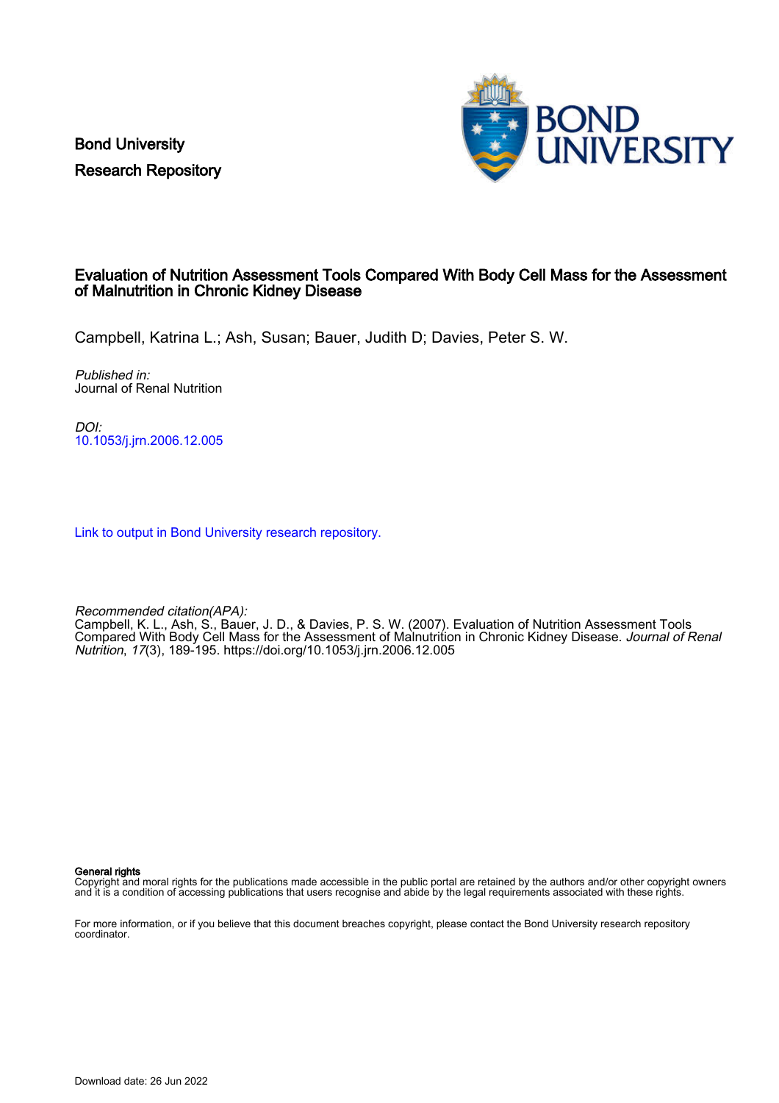Bond University Research Repository



## Evaluation of Nutrition Assessment Tools Compared With Body Cell Mass for the Assessment of Malnutrition in Chronic Kidney Disease

Campbell, Katrina L.; Ash, Susan; Bauer, Judith D; Davies, Peter S. W.

Published in: Journal of Renal Nutrition

DOI: [10.1053/j.jrn.2006.12.005](https://doi.org/10.1053/j.jrn.2006.12.005)

[Link to output in Bond University research repository.](https://research.bond.edu.au/en/publications/7f990a69-4f12-40f6-8706-6af3e9937c87)

Recommended citation(APA):

Campbell, K. L., Ash, S., Bauer, J. D., & Davies, P. S. W. (2007). Evaluation of Nutrition Assessment Tools Compared With Body Cell Mass for the Assessment of Malnutrition in Chronic Kidney Disease. Journal of Renal Nutrition, 17(3), 189-195. <https://doi.org/10.1053/j.jrn.2006.12.005>

General rights

Copyright and moral rights for the publications made accessible in the public portal are retained by the authors and/or other copyright owners and it is a condition of accessing publications that users recognise and abide by the legal requirements associated with these rights.

For more information, or if you believe that this document breaches copyright, please contact the Bond University research repository coordinator.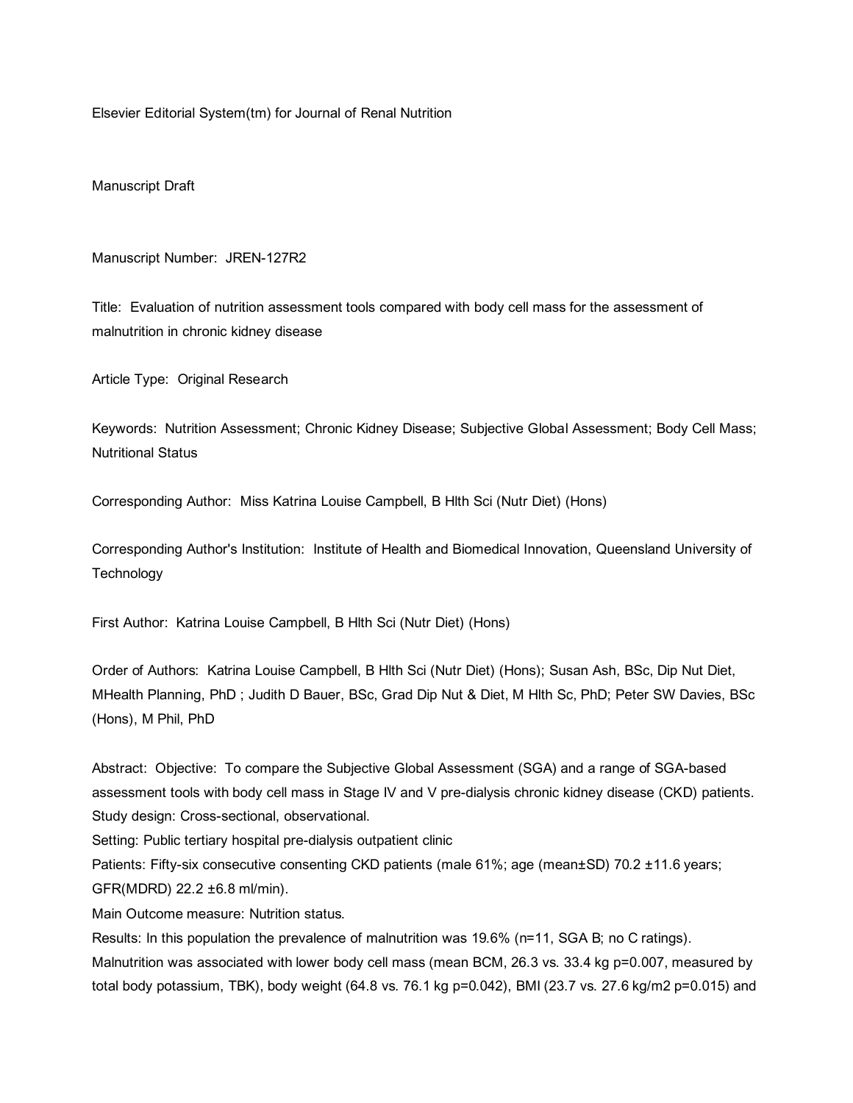Elsevier Editorial System(tm) for Journal of Renal Nutrition

Manuscript Draft

#### Manuscript Number: JREN-127R2

Title: Evaluation of nutrition assessment tools compared with body cell mass for the assessment of malnutrition in chronic kidney disease

Article Type: Original Research

Keywords: Nutrition Assessment; Chronic Kidney Disease; Subjective Global Assessment; Body Cell Mass; Nutritional Status

Corresponding Author: Miss Katrina Louise Campbell, B Hlth Sci (Nutr Diet) (Hons)

Corresponding Author's Institution: Institute of Health and Biomedical Innovation, Queensland University of **Technology** 

First Author: Katrina Louise Campbell, B Hlth Sci (Nutr Diet) (Hons)

Order of Authors: Katrina Louise Campbell, B Hlth Sci (Nutr Diet) (Hons); Susan Ash, BSc, Dip Nut Diet, MHealth Planning, PhD ; Judith D Bauer, BSc, Grad Dip Nut & Diet, M Hlth Sc, PhD; Peter SW Davies, BSc (Hons), M Phil, PhD

Abstract: Objective: To compare the Subjective Global Assessment (SGA) and a range of SGA-based assessment tools with body cell mass in Stage IV and V pre-dialysis chronic kidney disease (CKD) patients. Study design: Cross-sectional, observational.

Setting: Public tertiary hospital pre-dialysis outpatient clinic

Patients: Fifty-six consecutive consenting CKD patients (male 61%; age (mean±SD) 70.2 ±11.6 years; GFR(MDRD) 22.2 ±6.8 ml/min).

Main Outcome measure: Nutrition status.

Results: In this population the prevalence of malnutrition was 19.6% (n=11, SGA B; no C ratings). Malnutrition was associated with lower body cell mass (mean BCM, 26.3 vs. 33.4 kg p=0.007, measured by total body potassium, TBK), body weight (64.8 vs. 76.1 kg p=0.042), BMI (23.7 vs. 27.6 kg/m2 p=0.015) and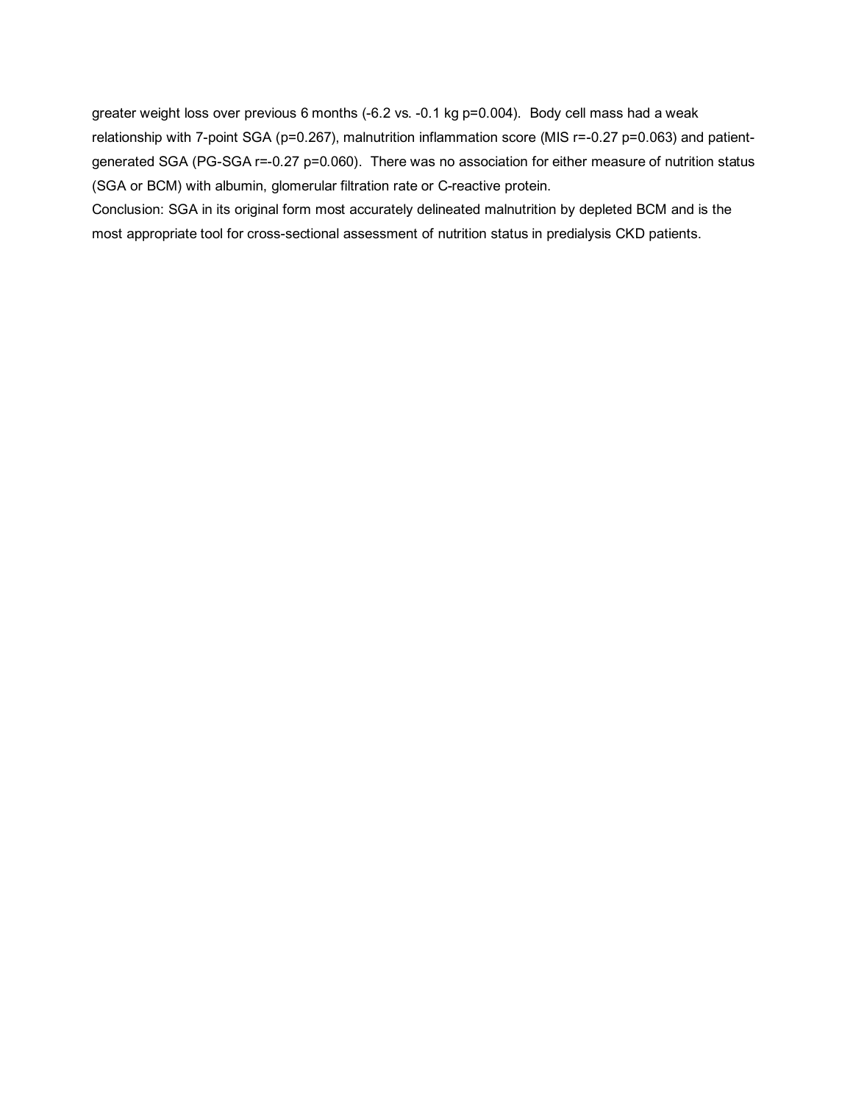greater weight loss over previous 6 months (-6.2 vs. -0.1 kg p=0.004). Body cell mass had a weak relationship with 7-point SGA (p=0.267), malnutrition inflammation score (MIS r=-0.27 p=0.063) and patientgenerated SGA (PG-SGA r=-0.27 p=0.060). There was no association for either measure of nutrition status (SGA or BCM) with albumin, glomerular filtration rate or C-reactive protein.

Conclusion: SGA in its original form most accurately delineated malnutrition by depleted BCM and is the most appropriate tool for cross-sectional assessment of nutrition status in predialysis CKD patients.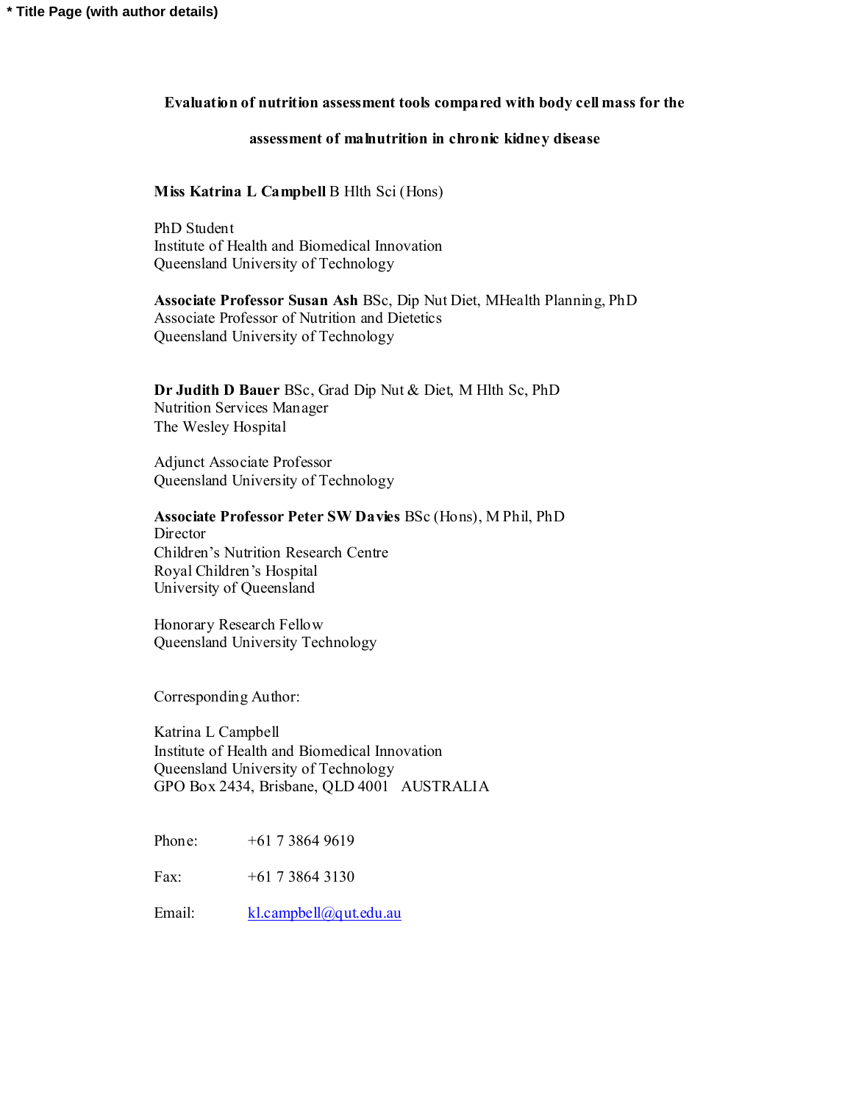### **Evaluation of nutrition assessment tools compared with body cell mass for the**

## **assessment of malnutrition in chronic kidney disease**

## **Miss Katrina L Campbell** B Hlth Sci (Hons)

PhD Student Institute of Health and Biomedical Innovation Queensland University of Technology

**Associate Professor Susan Ash** BSc, Dip Nut Diet, MHealth Planning, PhD Associate Professor of Nutrition and Dietetics Queensland University of Technology

**Dr Judith D Bauer** BSc, Grad Dip Nut & Diet, M Hlth Sc, PhD Nutrition Services Manager The Wesley Hospital

Adjunct Associate Professor Queensland University of Technology

**Associate Professor Peter SW Davies** BSc (Hons), M Phil, PhD **Director** 

Children's Nutrition Research Centre Royal Children's Hospital University of Queensland

Honorary Research Fellow Queensland University Technology

Corresponding Author:

Katrina L Campbell Institute of Health and Biomedical Innovation Queensland University of Technology GPO Box 2434, Brisbane, QLD 4001 AUSTRALIA

Phone: +61 7 3864 9619

Fax: +61 7 3864 3130

Email: kl.campbell@qut.edu.au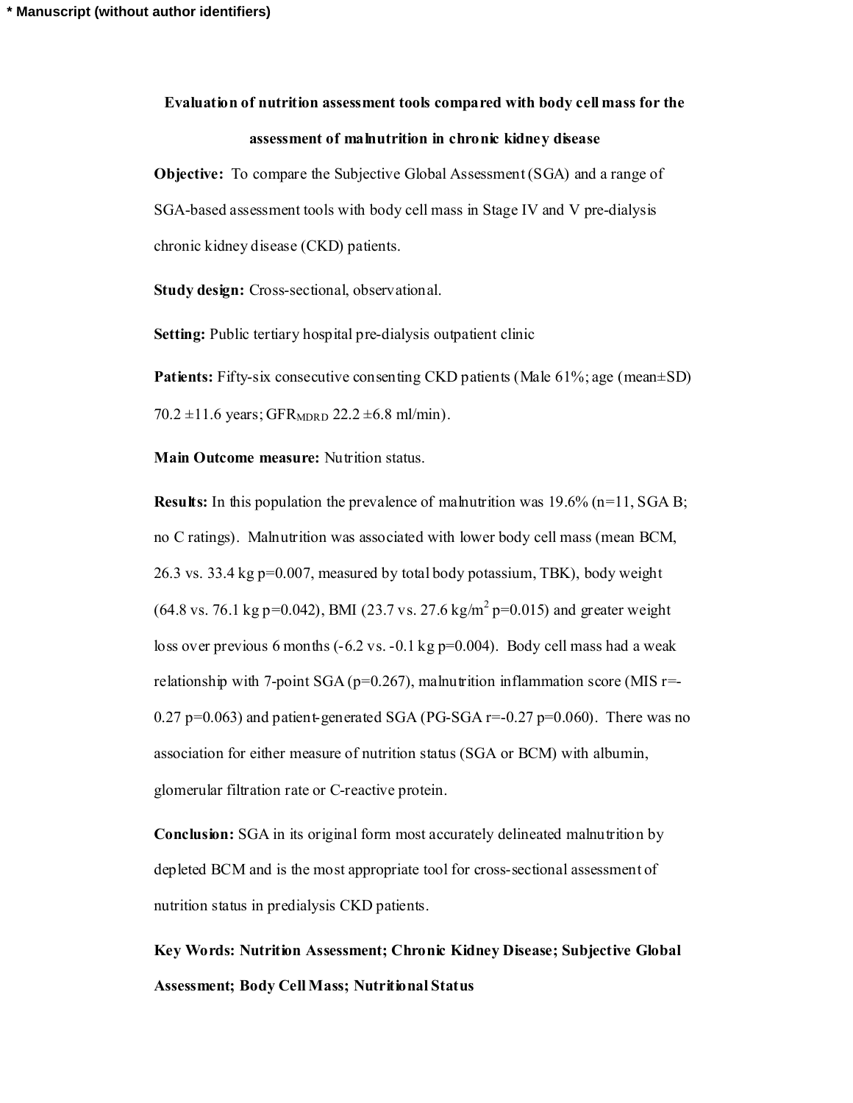# **Evaluation of nutrition assessment tools compared with body cell mass for the assessment of malnutrition in chronic kidney disease**

**Objective:** To compare the Subjective Global Assessment (SGA) and a range of SGA-based assessment tools with body cell mass in Stage IV and V pre-dialysis chronic kidney disease (CKD) patients.

**Study design:** Cross-sectional, observational.

**Setting:** Public tertiary hospital pre-dialysis outpatient clinic

**Patients:** Fifty-six consecutive consenting CKD patients (Male 61%; age (mean $\pm$ SD) 70.2  $\pm$ 11.6 years; GFR<sub>MDRD</sub> 22.2  $\pm$ 6.8 ml/min).

**Main Outcome measure:** Nutrition status.

**Results:** In this population the prevalence of malnutrition was 19.6% (n=11, SGA B; no C ratings). Malnutrition was associated with lower body cell mass (mean BCM, 26.3 vs. 33.4 kg p=0.007, measured by total body potassium, TBK), body weight  $(64.8 \text{ vs. } 76.1 \text{ kg p=0.042})$ , BMI (23.7 vs. 27.6 kg/m<sup>2</sup> p=0.015) and greater weight loss over previous 6 months  $(-6.2 \text{ vs. } -0.1 \text{ kg p=0.004})$ . Body cell mass had a weak relationship with 7-point SGA ( $p=0.267$ ), malnutrition inflammation score (MIS  $r=$ 0.27 p=0.063) and patient-generated SGA (PG-SGA  $r=0.27$  p=0.060). There was no association for either measure of nutrition status (SGA or BCM) with albumin, glomerular filtration rate or C-reactive protein.

**Conclusion:** SGA in its original form most accurately delineated malnutrition by depleted BCM and is the most appropriate tool for cross-sectional assessment of nutrition status in predialysis CKD patients.

**Key Words: Nutrition Assessment; Chronic Kidney Disease; Subjective Global Assessment; Body Cell Mass; Nutritional Status**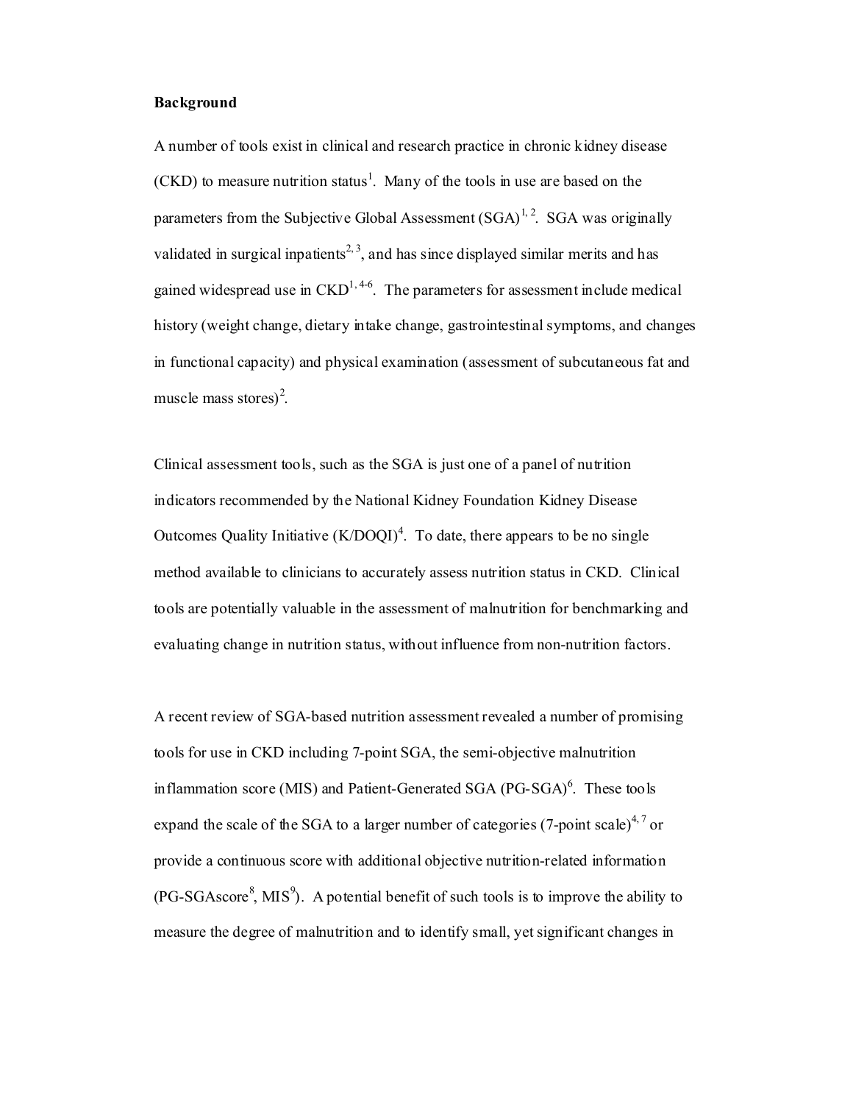#### **Background**

A number of tools exist in clinical and research practice in chronic kidney disease  $(CKD)$  to measure nutrition status<sup>1</sup>. Many of the tools in use are based on the parameters from the Subjective Global Assessment  $(SGA)^{1,2}$ . SGA was originally validated in surgical inpatients<sup>2, 3</sup>, and has since displayed similar merits and has gained widespread use in  $\text{CKD}^{1,4-6}$ . The parameters for assessment include medical history (weight change, dietary intake change, gastrointestinal symptoms, and changes in functional capacity) and physical examination (assessment of subcutaneous fat and muscle mass stores)<sup>2</sup>.

Clinical assessment tools, such as the SGA is just one of a panel of nutrition indicators recommended by the National Kidney Foundation Kidney Disease Outcomes Quality Initiative  $(K/DOQI)^4$ . To date, there appears to be no single method available to clinicians to accurately assess nutrition status in CKD. Clinical tools are potentially valuable in the assessment of malnutrition for benchmarking and evaluating change in nutrition status, without influence from non-nutrition factors.

A recent review of SGA-based nutrition assessment revealed a number of promising tools for use in CKD including 7-point SGA, the semi-objective malnutrition inflammation score (MIS) and Patient-Generated SGA (PG-SGA)<sup>6</sup>. These tools expand the scale of the SGA to a larger number of categories (7-point scale)<sup>4,7</sup> or provide a continuous score with additional objective nutrition-related information  $(PG-SGAscore<sup>8</sup>,  $MS<sup>9</sup>$ ). A potential benefit of such tools is to improve the ability to$ measure the degree of malnutrition and to identify small, yet significant changes in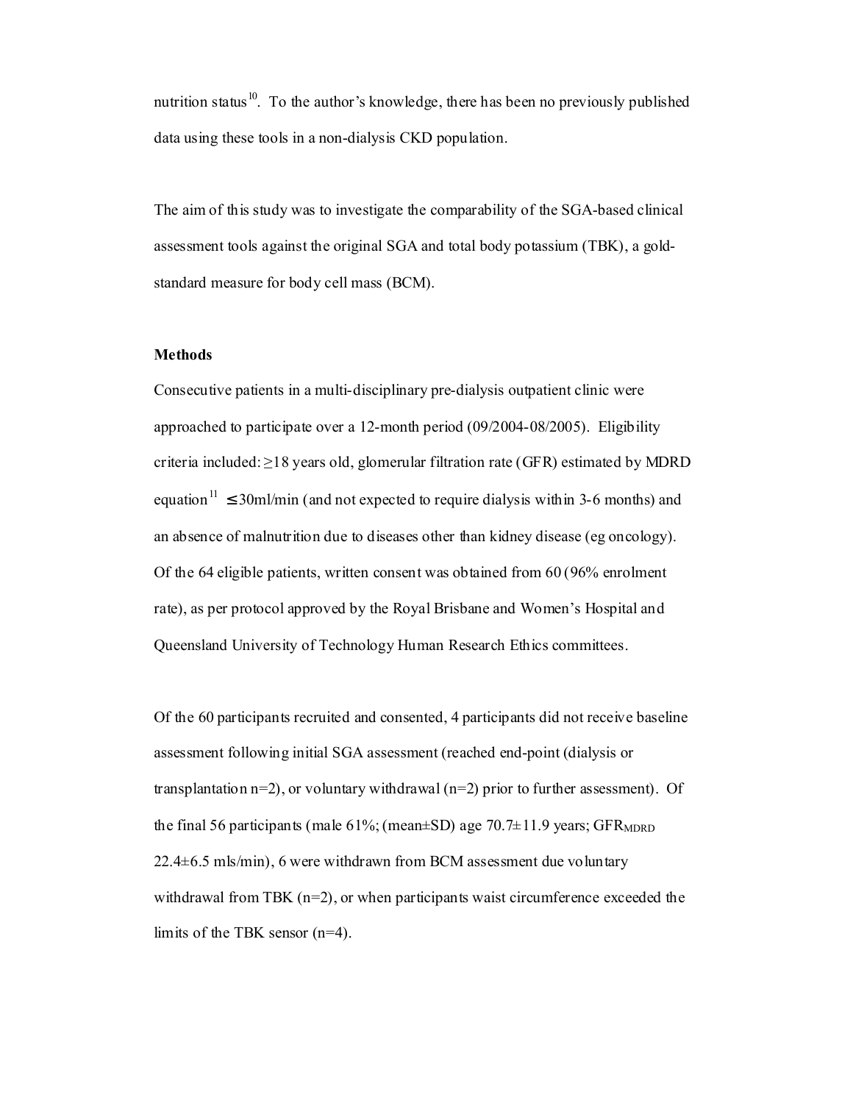nutrition status<sup>10</sup>. To the author's knowledge, there has been no previously published data using these tools in a non-dialysis CKD population.

The aim of this study was to investigate the comparability of the SGA-based clinical assessment tools against the original SGA and total body potassium (TBK), a goldstandard measure for body cell mass (BCM).

### **Methods**

Consecutive patients in a multi-disciplinary pre-dialysis outpatient clinic were approached to participate over a 12-month period (09/2004-08/2005). Eligibility criteria included:  $\geq$ 18 years old, glomerular filtration rate (GFR) estimated by MDRD equation<sup>11</sup>  $\leq$  30ml/min (and not expected to require dialysis within 3-6 months) and an absence of malnutrition due to diseases other than kidney disease (eg oncology). Of the 64 eligible patients, written consent was obtained from 60 (96% enrolment rate), as per protocol approved by the Royal Brisbane and Women's Hospital and Queensland University of Technology Human Research Ethics committees.

Of the 60 participants recruited and consented, 4 participants did not receive baseline assessment following initial SGA assessment (reached end-point (dialysis or transplantation n=2), or voluntary withdrawal (n=2) prior to further assessment). Of the final 56 participants (male  $61\%$ ; (mean $\pm$ SD) age 70.7 $\pm$ 11.9 years; GFR<sub>MDRD</sub>  $22.4\pm 6.5$  mls/min), 6 were withdrawn from BCM assessment due voluntary withdrawal from TBK  $(n=2)$ , or when participants waist circumference exceeded the limits of the TBK sensor (n=4).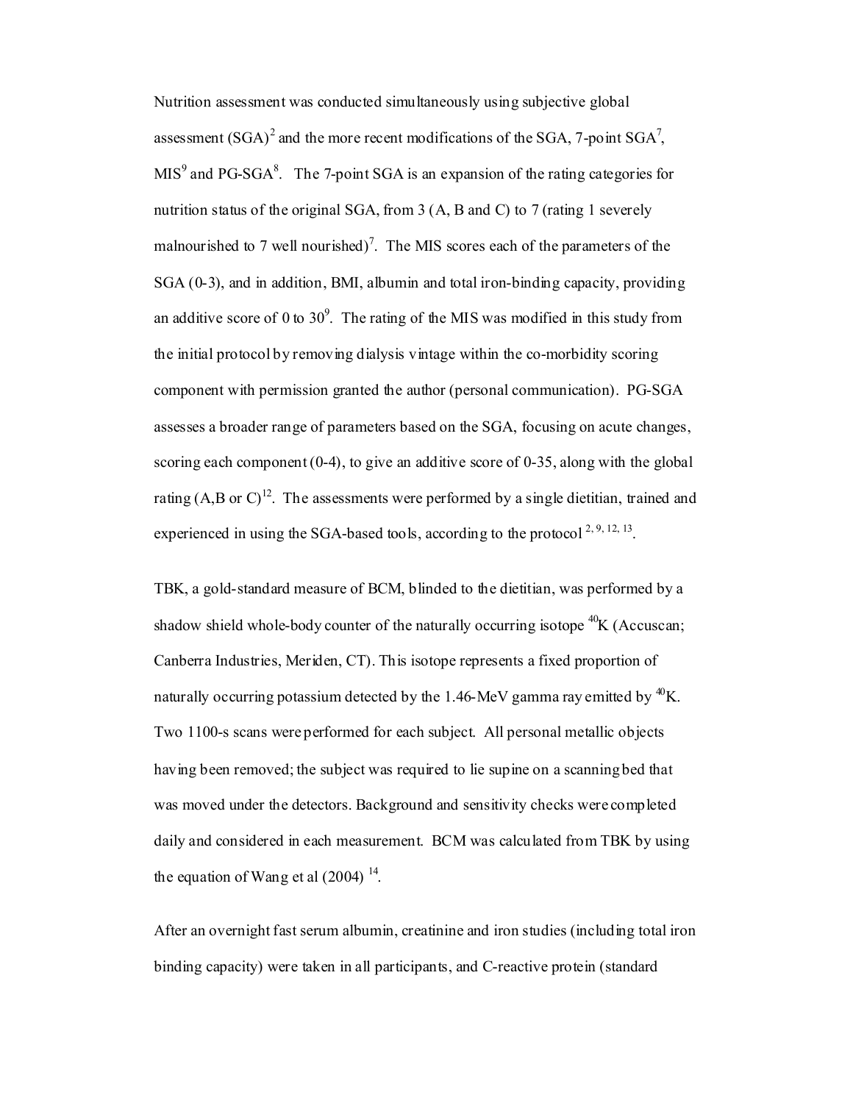Nutrition assessment was conducted simultaneously using subjective global assessment  $(SGA)^2$  and the more recent modifications of the SGA, 7-point SGA<sup>7</sup>,  $MIS<sup>9</sup>$  and PG-SGA<sup>8</sup>. The 7-point SGA is an expansion of the rating categories for nutrition status of the original SGA, from 3 (A, B and C) to 7 (rating 1 severely malnourished to 7 well nourished)<sup>7</sup>. The MIS scores each of the parameters of the SGA (0-3), and in addition, BMI, albumin and total iron-binding capacity, providing an additive score of 0 to  $30^9$ . The rating of the MIS was modified in this study from the initial protocol by removing dialysis vintage within the co-morbidity scoring component with permission granted the author (personal communication). PG-SGA assesses a broader range of parameters based on the SGA, focusing on acute changes, scoring each component  $(0-4)$ , to give an additive score of  $0-35$ , along with the global rating  $(A, B \text{ or } C)^{12}$ . The assessments were performed by a single dietitian, trained and experienced in using the SGA-based tools, according to the protocol  $^{2,9,12,13}$ .

TBK, a gold-standard measure of BCM, blinded to the dietitian, was performed by a shadow shield whole-body counter of the naturally occurring isotope  ${}^{40}K$  (Accuscan; Canberra Industries, Meriden, CT). This isotope represents a fixed proportion of naturally occurring potassium detected by the 1.46-MeV gamma ray emitted by  ${}^{40}$ K. Two 1100-s scans were performed for each subject. All personal metallic objects having been removed; the subject was required to lie supine on a scanningbed that was moved under the detectors. Background and sensitivity checks were completed daily and considered in each measurement. BCM was calculated from TBK by using the equation of Wang et al  $(2004)$ <sup>14</sup>.

After an overnight fast serum albumin, creatinine and iron studies (including total iron binding capacity) were taken in all participants, and C-reactive protein (standard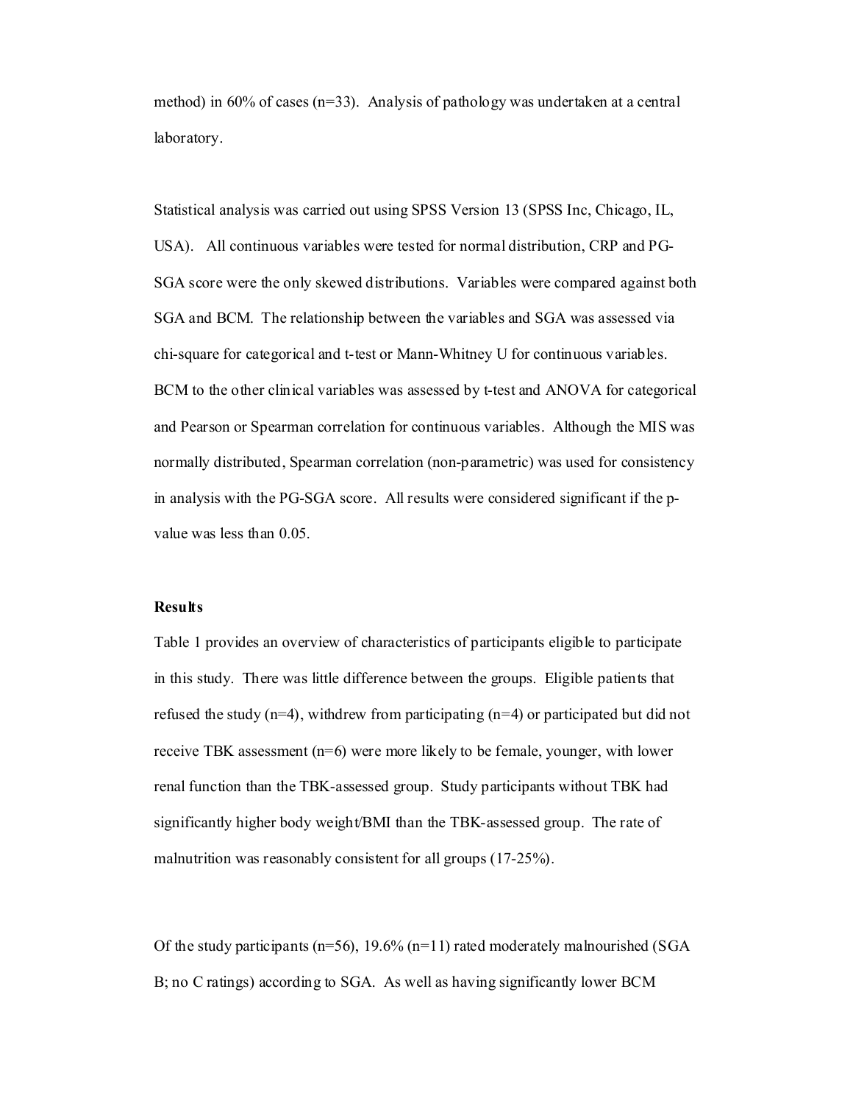method) in 60% of cases ( $n=33$ ). Analysis of pathology was undertaken at a central laboratory.

Statistical analysis was carried out using SPSS Version 13 (SPSS Inc, Chicago, IL, USA). All continuous variables were tested for normal distribution, CRP and PG-SGA score were the only skewed distributions. Variables were compared against both SGA and BCM. The relationship between the variables and SGA was assessed via chi-square for categorical and t-test or Mann-Whitney U for continuous variables. BCM to the other clinical variables was assessed by t-test and ANOVA for categorical and Pearson or Spearman correlation for continuous variables. Although the MIS was normally distributed, Spearman correlation (non-parametric) was used for consistency in analysis with the PG-SGA score. All results were considered significant if the pvalue was less than 0.05.

#### **Results**

Table 1 provides an overview of characteristics of participants eligible to participate in this study. There was little difference between the groups. Eligible patients that refused the study  $(n=4)$ , withdrew from participating  $(n=4)$  or participated but did not receive TBK assessment (n=6) were more likely to be female, younger, with lower renal function than the TBK-assessed group. Study participants without TBK had significantly higher body weight/BMI than the TBK-assessed group. The rate of malnutrition was reasonably consistent for all groups (17-25%).

Of the study participants ( $n=56$ ), 19.6% ( $n=11$ ) rated moderately malnourished (SGA B; no C ratings) according to SGA. As well as having significantly lower BCM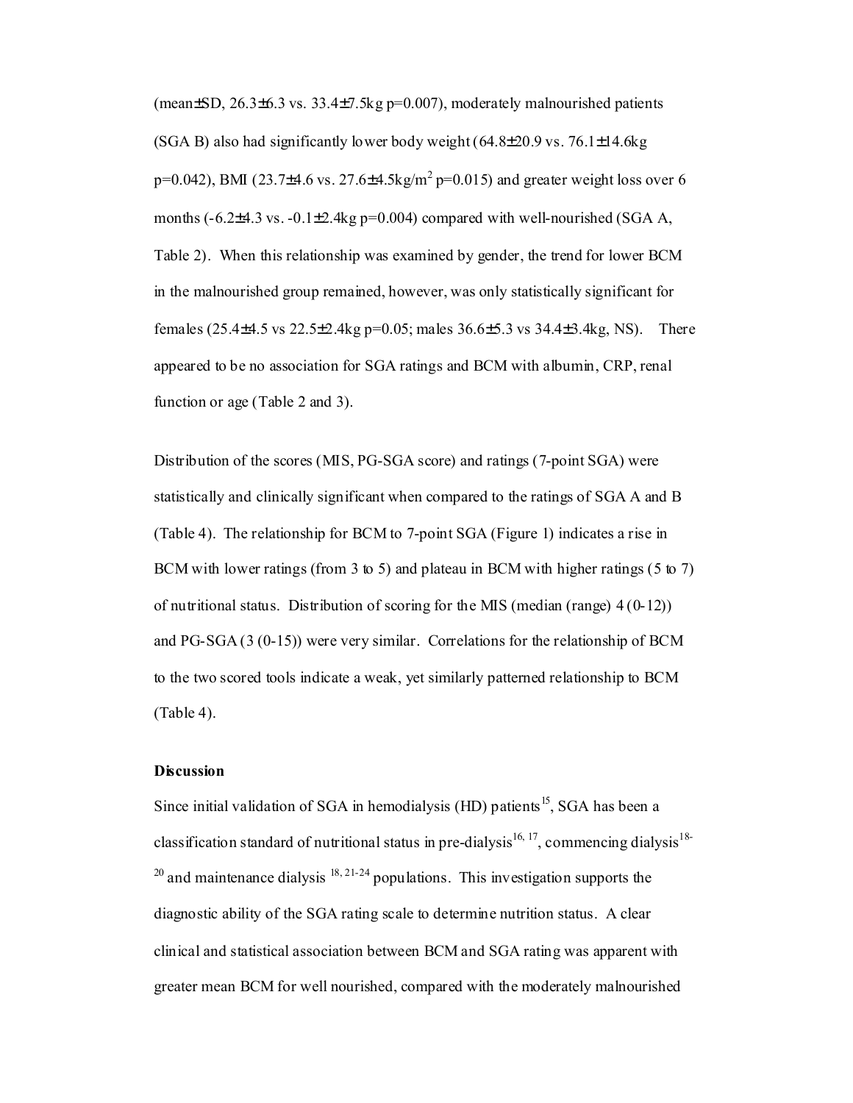(mean $\pm$ SD, 26.3 $\pm$ 6.3 vs. 33.4 $\pm$ 7.5kg p=0.007), moderately malnourished patients (SGA B) also had significantly lower body weight  $(64.8\pm 20.9 \text{ vs. } 76.1\pm 14.6 \text{ kg})$  $p=0.042$ ), BMI (23.7±4.6 vs. 27.6±4.5kg/m<sup>2</sup>  $p=0.015$ ) and greater weight loss over 6 months  $(-6.2\pm4.3 \text{ vs. } -0.1\pm2.4 \text{ kg p=0.004})$  compared with well-nourished (SGA A, Table 2). When this relationship was examined by gender, the trend for lower BCM in the malnourished group remained, however, was only statistically significant for females (25.4±4.5 vs 22.5±2.4kg p=0.05; males 36.6±5.3 vs 34.4±3.4kg, NS). There appeared to be no association for SGA ratings and BCM with albumin, CRP, renal function or age (Table 2 and 3).

Distribution of the scores (MIS, PG-SGA score) and ratings (7-point SGA) were statistically and clinically significant when compared to the ratings of SGA A and B (Table 4). The relationship for BCM to 7-point SGA (Figure 1) indicates a rise in BCM with lower ratings (from 3 to 5) and plateau in BCM with higher ratings (5 to 7) of nutritional status. Distribution of scoring for the MIS (median (range)  $4(0-12)$ ) and PG-SGA (3 (0-15)) were very similar. Correlations for the relationship of BCM to the two scored tools indicate a weak, yet similarly patterned relationship to BCM (Table 4).

#### **Discussion**

Since initial validation of SGA in hemodialysis (HD) patients<sup>15</sup>, SGA has been a classification standard of nutritional status in pre-dialysis<sup>16, 17</sup>, commencing dialysis<sup>18-</sup>  $20$  and maintenance dialysis  $18, 21-24$  populations. This investigation supports the diagnostic ability of the SGA rating scale to determine nutrition status. A clear clinical and statistical association between BCM and SGA rating was apparent with greater mean BCM for well nourished, compared with the moderately malnourished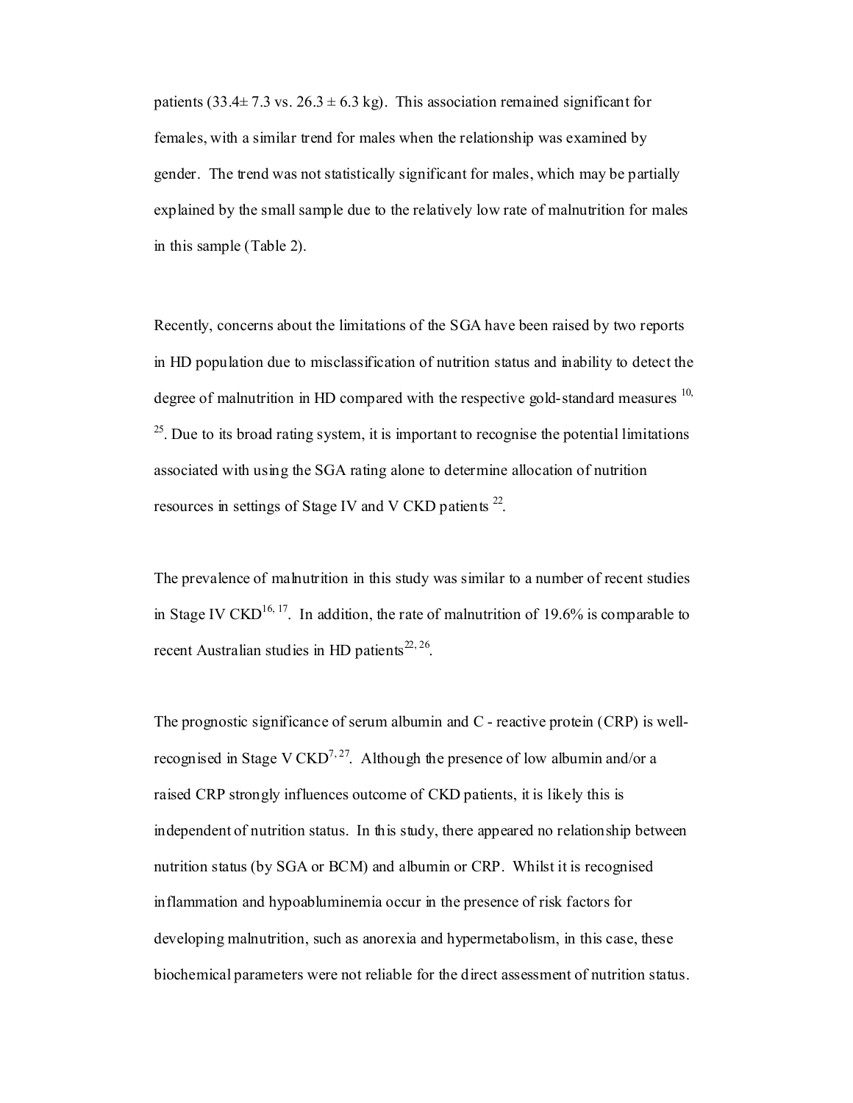patients (33.4 $\pm$  7.3 vs. 26.3  $\pm$  6.3 kg). This association remained significant for females, with a similar trend for males when the relationship was examined by gender. The trend was not statistically significant for males, which may be partially explained by the small sample due to the relatively low rate of malnutrition for males in this sample (Table 2).

Recently, concerns about the limitations of the SGA have been raised by two reports in HD population due to misclassification of nutrition status and inability to detect the degree of malnutrition in HD compared with the respective gold-standard measures  $^{10}$ ,  $25$ . Due to its broad rating system, it is important to recognise the potential limitations associated with using the SGA rating alone to determine allocation of nutrition resources in settings of Stage IV and V CKD patients  $^{22}$ .

The prevalence of malnutrition in this study was similar to a number of recent studies in Stage IV CKD<sup>16, 17</sup>. In addition, the rate of malnutrition of 19.6% is comparable to recent Australian studies in HD patients<sup>22, 26</sup>.

The prognostic significance of serum albumin and C - reactive protein (CRP) is wellrecognised in Stage V CKD<sup>7,27</sup>. Although the presence of low albumin and/or a raised CRP strongly influences outcome of CKD patients, it is likely this is independent of nutrition status. In this study, there appeared no relationship between nutrition status (by SGA or BCM) and albumin or CRP. Whilst it is recognised inflammation and hypoabluminemia occur in the presence of risk factors for developing malnutrition, such as anorexia and hypermetabolism, in this case, these biochemical parameters were not reliable for the direct assessment of nutrition status.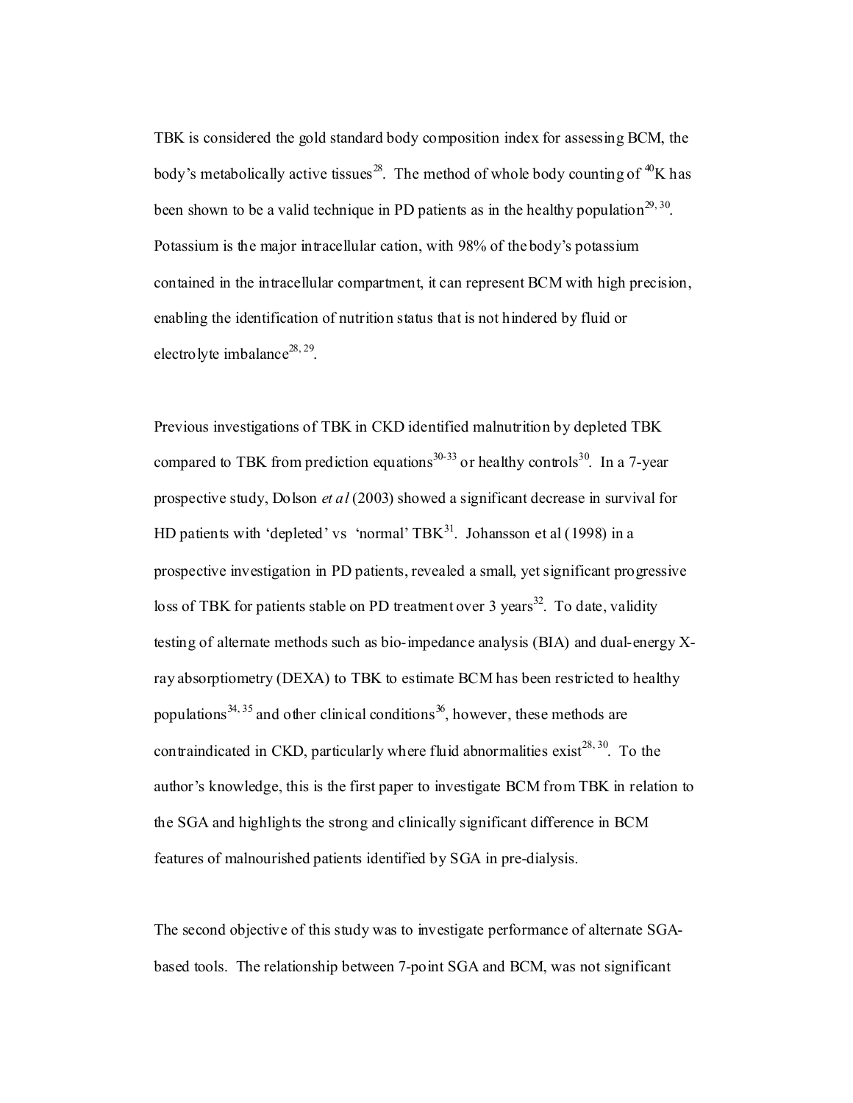TBK is considered the gold standard body composition index for assessing BCM, the body's metabolically active tissues<sup>28</sup>. The method of whole body counting of <sup>40</sup>K has been shown to be a valid technique in PD patients as in the healthy population<sup>29, 30</sup>. Potassium is the major intracellular cation, with 98% of the body's potassium contained in the intracellular compartment, it can represent BCM with high precision, enabling the identification of nutrition status that is not hindered by fluid or electrolyte imbalance<sup>28, 29</sup>.

Previous investigations of TBK in CKD identified malnutrition by depleted TBK compared to TBK from prediction equations<sup>30-33</sup> or healthy controls<sup>30</sup>. In a 7-year prospective study, Dolson *et al* (2003) showed a significant decrease in survival for HD patients with 'depleted' vs 'normal' TBK $^{31}$ . Johansson et al (1998) in a prospective investigation in PD patients, revealed a small, yet significant progressive loss of TBK for patients stable on PD treatment over 3 years<sup>32</sup>. To date, validity testing of alternate methods such as bio-impedance analysis (BIA) and dual-energy Xray absorptiometry (DEXA) to TBK to estimate BCM has been restricted to healthy populations<sup>34, 35</sup> and other clinical conditions<sup>36</sup>, however, these methods are contraindicated in CKD, particularly where fluid abnormalities exist<sup>28, 30</sup>. To the author's knowledge, this is the first paper to investigate BCM from TBK in relation to the SGA and highlights the strong and clinically significant difference in BCM features of malnourished patients identified by SGA in pre-dialysis.

The second objective of this study was to investigate performance of alternate SGAbased tools. The relationship between 7-point SGA and BCM, was not significant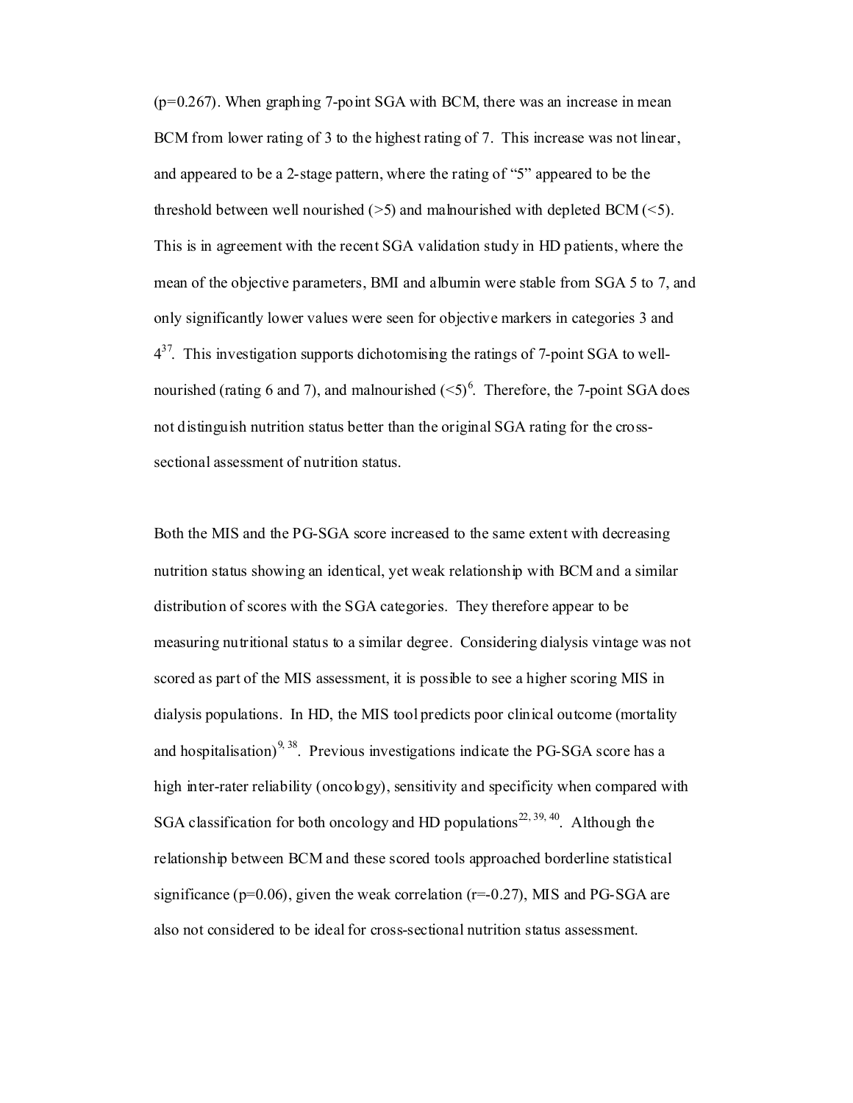$(p=0.267)$ . When graphing 7-point SGA with BCM, there was an increase in mean BCM from lower rating of 3 to the highest rating of 7. This increase was not linear, and appeared to be a 2-stage pattern, where the rating of "5" appeared to be the threshold between well nourished  $(5)$  and malnourished with depleted BCM  $(5)$ . This is in agreement with the recent SGA validation study in HD patients, where the mean of the objective parameters, BMI and albumin were stable from SGA 5 to 7, and only significantly lower values were seen for objective markers in categories 3 and  $4^{37}$ . This investigation supports dichotomising the ratings of 7-point SGA to wellnourished (rating 6 and 7), and malnourished  $(5)^6$ . Therefore, the 7-point SGA does not distinguish nutrition status better than the original SGA rating for the crosssectional assessment of nutrition status.

Both the MIS and the PG-SGA score increased to the same extent with decreasing nutrition status showing an identical, yet weak relationship with BCM and a similar distribution of scores with the SGA categories. They therefore appear to be measuring nutritional status to a similar degree. Considering dialysis vintage was not scored as part of the MIS assessment, it is possible to see a higher scoring MIS in dialysis populations. In HD, the MIS tool predicts poor clinical outcome (mortality and hospitalisation)<sup>9, 38</sup>. Previous investigations indicate the PG-SGA score has a high inter-rater reliability (oncology), sensitivity and specificity when compared with SGA classification for both oncology and HD populations<sup>22, 39, 40</sup>. Although the relationship between BCM and these scored tools approached borderline statistical significance ( $p=0.06$ ), given the weak correlation ( $r=0.27$ ), MIS and PG-SGA are also not considered to be ideal for cross-sectional nutrition status assessment.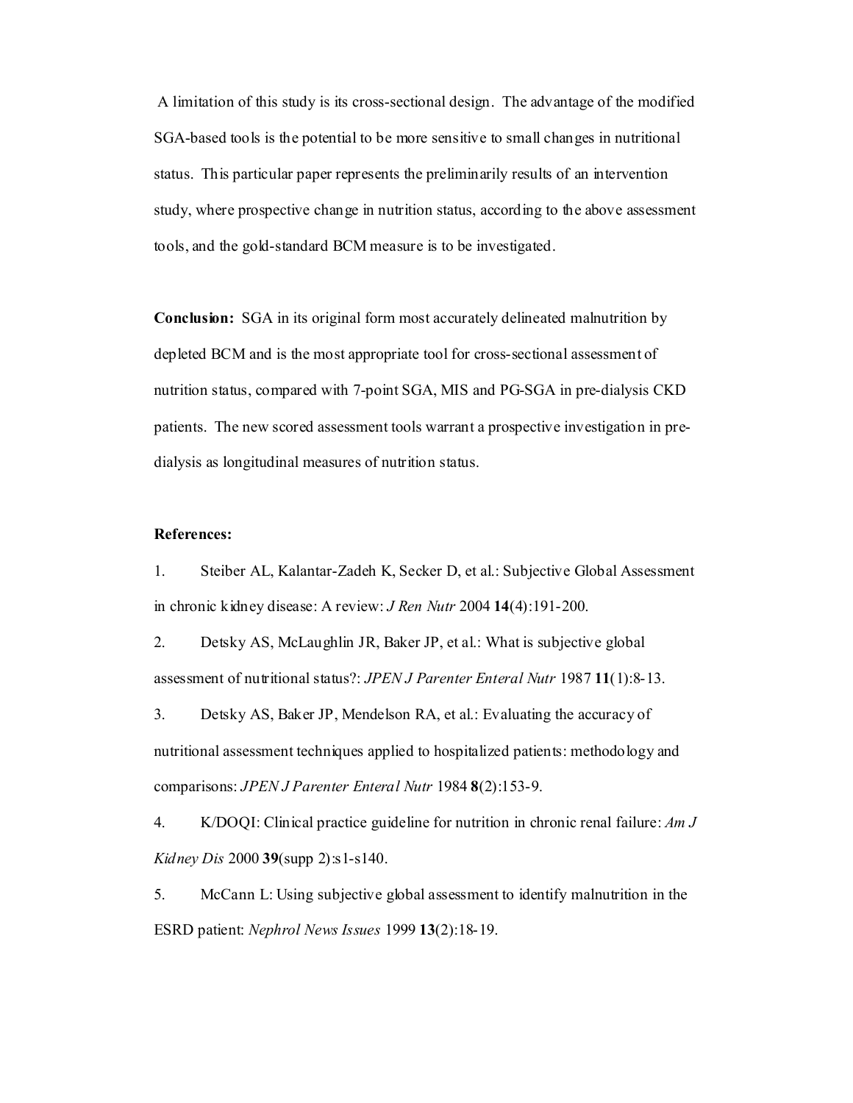A limitation of this study is its cross-sectional design. The advantage of the modified SGA-based tools is the potential to be more sensitive to small changes in nutritional status. This particular paper represents the preliminarily results of an intervention study, where prospective change in nutrition status, according to the above assessment tools, and the gold-standard BCM measure is to be investigated.

**Conclusion:** SGA in its original form most accurately delineated malnutrition by depleted BCM and is the most appropriate tool for cross-sectional assessment of nutrition status, compared with 7-point SGA, MIS and PG-SGA in pre-dialysis CKD patients. The new scored assessment tools warrant a prospective investigation in predialysis as longitudinal measures of nutrition status.

## **References:**

1. Steiber AL, Kalantar-Zadeh K, Secker D, et al.: Subjective Global Assessment in chronic kidney disease: A review: *J Ren Nutr* 2004 **14**(4):191-200.

2. Detsky AS, McLaughlin JR, Baker JP, et al.: What is subjective global assessment of nutritional status?: *JPEN J Parenter Enteral Nutr* 1987 **11**(1):8-13.

3. Detsky AS, Baker JP, Mendelson RA, et al.: Evaluating the accuracy of nutritional assessment techniques applied to hospitalized patients: methodology and comparisons: *JPEN J Parenter Enteral Nutr* 1984 **8**(2):153-9.

4. K/DOQI: Clinical practice guideline for nutrition in chronic renal failure: *Am J Kidney Dis* 2000 **39**(supp 2):s1-s140.

5. McCann L: Using subjective global assessment to identify malnutrition in the ESRD patient: *Nephrol News Issues* 1999 **13**(2):18-19.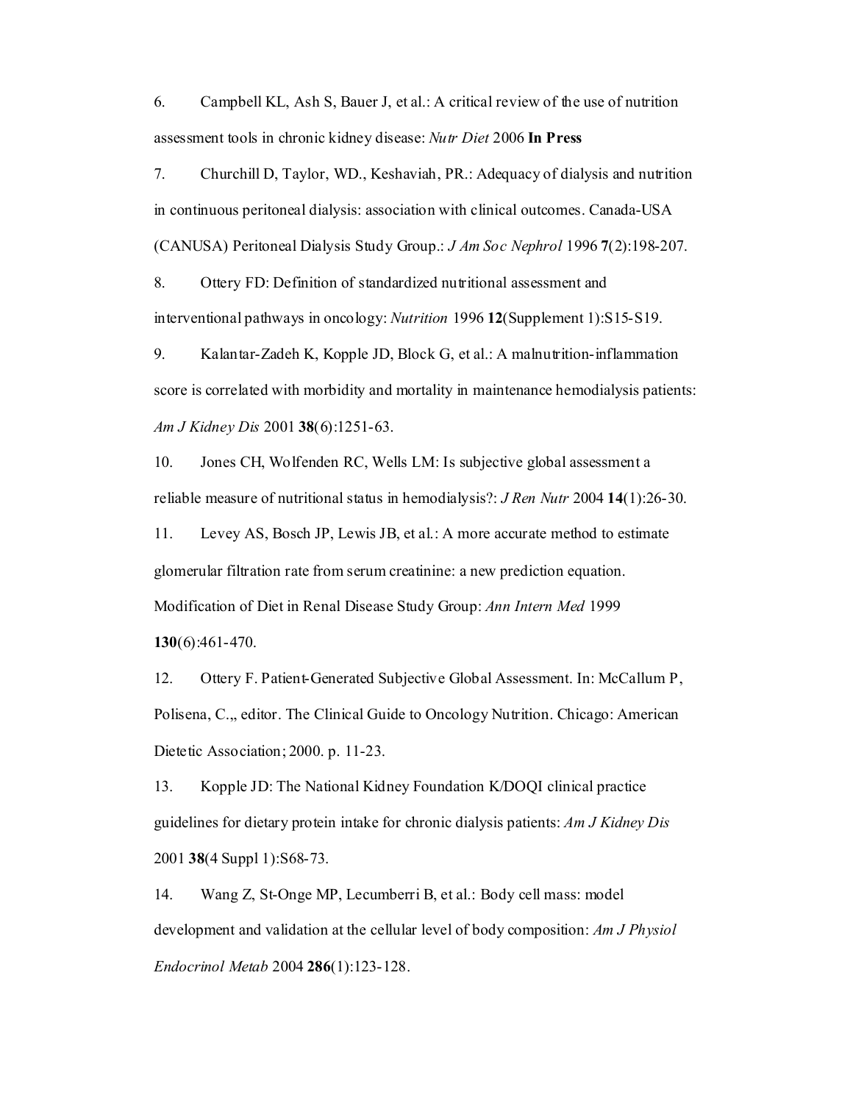6. Campbell KL, Ash S, Bauer J, et al.: A critical review of the use of nutrition assessment tools in chronic kidney disease: *Nutr Diet* 2006 **In Press**

7. Churchill D, Taylor, WD., Keshaviah, PR.: Adequacy of dialysis and nutrition in continuous peritoneal dialysis: association with clinical outcomes. Canada-USA (CANUSA) Peritoneal Dialysis Study Group.: *J Am Soc Nephrol* 1996 **7**(2):198-207.

8. Ottery FD: Definition of standardized nutritional assessment and interventional pathways in oncology: *Nutrition* 1996 **12**(Supplement 1):S15-S19.

9. Kalantar-Zadeh K, Kopple JD, Block G, et al.: A malnutrition-inflammation score is correlated with morbidity and mortality in maintenance hemodialysis patients: *Am J Kidney Dis* 2001 **38**(6):1251-63.

10. Jones CH, Wolfenden RC, Wells LM: Is subjective global assessment a reliable measure of nutritional status in hemodialysis?: *J Ren Nutr* 2004 **14**(1):26-30.

11. Levey AS, Bosch JP, Lewis JB, et al.: A more accurate method to estimate glomerular filtration rate from serum creatinine: a new prediction equation. Modification of Diet in Renal Disease Study Group: *Ann Intern Med* 1999 **130**(6):461-470.

12. Ottery F. Patient-Generated Subjective Global Assessment. In: McCallum P, Polisena, C.,, editor. The Clinical Guide to Oncology Nutrition. Chicago: American Dietetic Association; 2000. p. 11-23.

13. Kopple JD: The National Kidney Foundation K/DOQI clinical practice guidelines for dietary protein intake for chronic dialysis patients: *Am J Kidney Dis*  2001 **38**(4 Suppl 1):S68-73.

14. Wang Z, St-Onge MP, Lecumberri B, et al.: Body cell mass: model development and validation at the cellular level of body composition: *Am J Physiol Endocrinol Metab* 2004 **286**(1):123-128.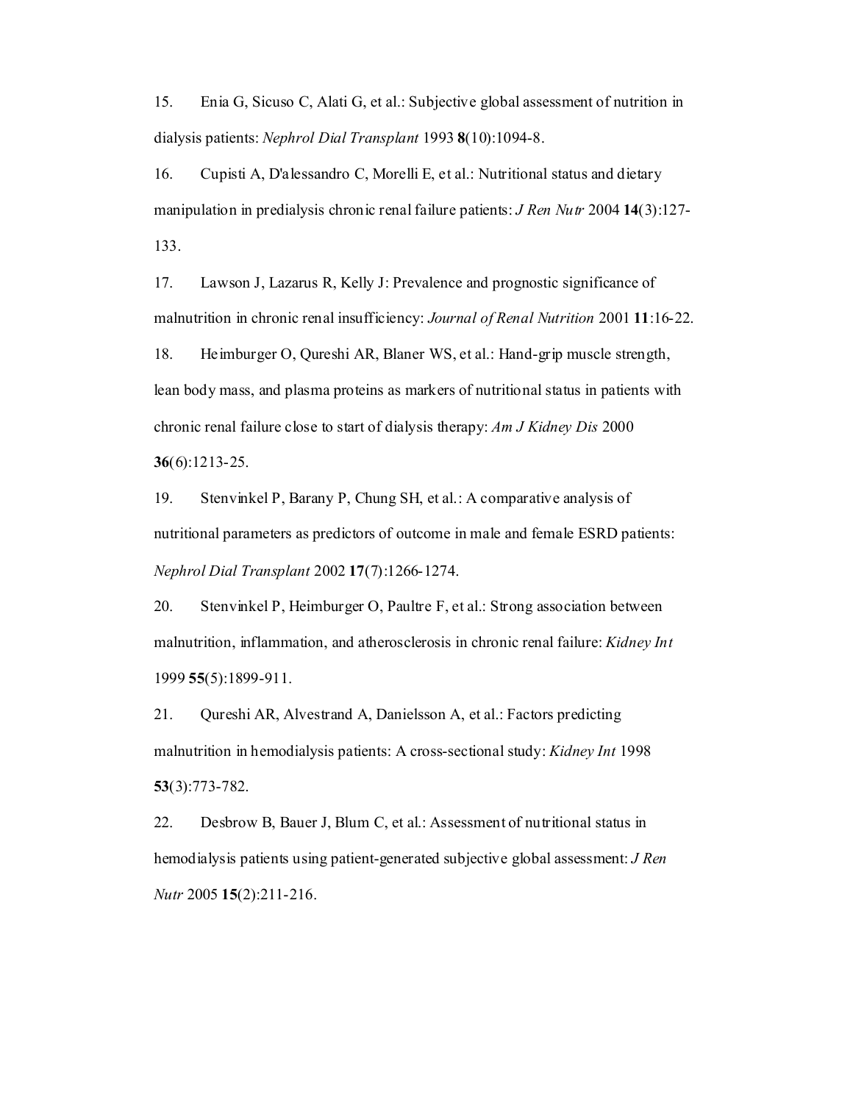15. Enia G, Sicuso C, Alati G, et al.: Subjective global assessment of nutrition in dialysis patients: *Nephrol Dial Transplant* 1993 **8**(10):1094-8.

16. Cupisti A, D'alessandro C, Morelli E, et al.: Nutritional status and dietary manipulation in predialysis chronic renal failure patients: *J Ren Nutr* 2004 **14**(3):127- 133.

17. Lawson J, Lazarus R, Kelly J: Prevalence and prognostic significance of malnutrition in chronic renal insufficiency: *Journal of Renal Nutrition* 2001 **11**:16-22.

18. Heimburger O, Qureshi AR, Blaner WS, et al.: Hand-grip muscle strength, lean body mass, and plasma proteins as markers of nutritional status in patients with chronic renal failure close to start of dialysis therapy: *Am J Kidney Dis* 2000 **36**(6):1213-25.

19. Stenvinkel P, Barany P, Chung SH, et al.: A comparative analysis of nutritional parameters as predictors of outcome in male and female ESRD patients: *Nephrol Dial Transplant* 2002 **17**(7):1266-1274.

20. Stenvinkel P, Heimburger O, Paultre F, et al.: Strong association between malnutrition, inflammation, and atherosclerosis in chronic renal failure: *Kidney Int*  1999 **55**(5):1899-911.

21. Qureshi AR, Alvestrand A, Danielsson A, et al.: Factors predicting malnutrition in hemodialysis patients: A cross-sectional study: *Kidney Int* 1998 **53**(3):773-782.

22. Desbrow B, Bauer J, Blum C, et al.: Assessment of nutritional status in hemodialysis patients using patient-generated subjective global assessment: *J Ren Nutr* 2005 **15**(2):211-216.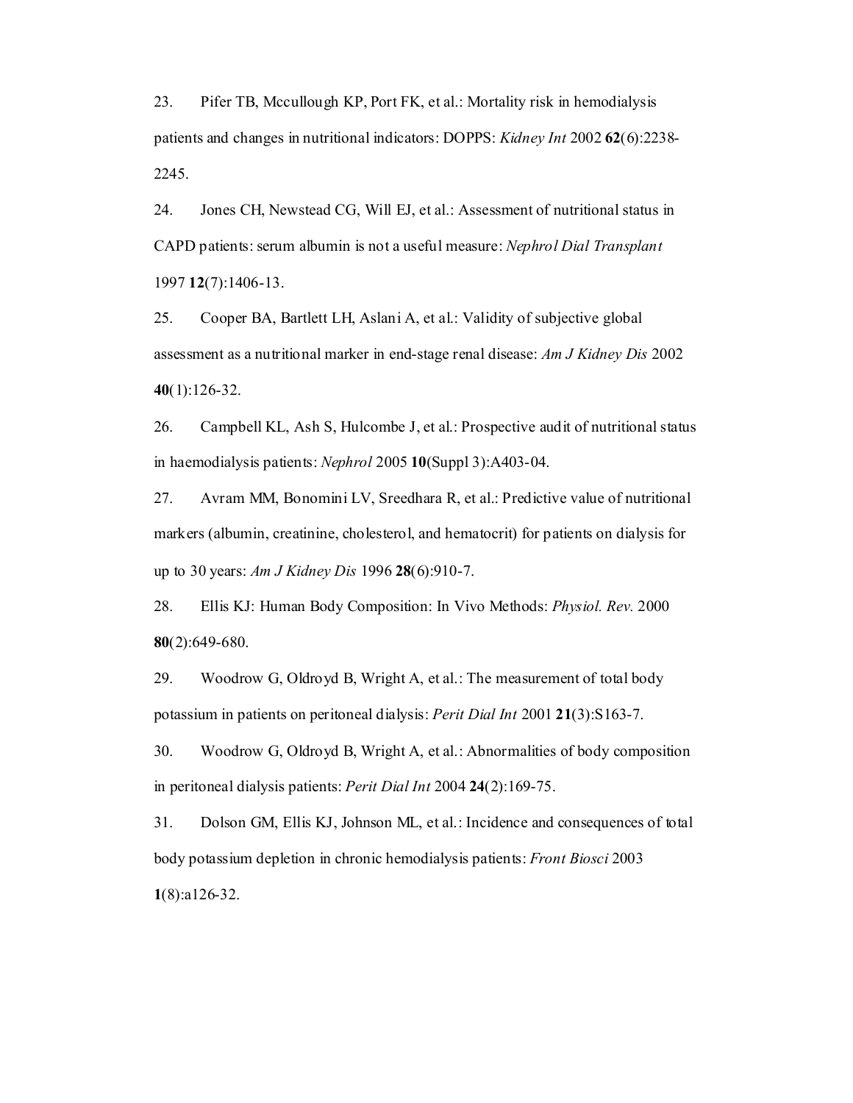23. Pifer TB, Mccullough KP, Port FK, et al.: Mortality risk in hemodialysis patients and changes in nutritional indicators: DOPPS: *Kidney Int* 2002 **62**(6):2238- 2245.

24. Jones CH, Newstead CG, Will EJ, et al.: Assessment of nutritional status in CAPD patients: serum albumin is not a useful measure: *Nephrol Dial Transplant*  1997 **12**(7):1406-13.

25. Cooper BA, Bartlett LH, Aslani A, et al.: Validity of subjective global assessment as a nutritional marker in end-stage renal disease: *Am J Kidney Dis* 2002 **40**(1):126-32.

26. Campbell KL, Ash S, Hulcombe J, et al.: Prospective audit of nutritional status in haemodialysis patients: *Nephrol* 2005 **10**(Suppl 3):A403-04.

27. Avram MM, Bonomini LV, Sreedhara R, et al.: Predictive value of nutritional markers (albumin, creatinine, cholesterol, and hematocrit) for patients on dialysis for up to 30 years: *Am J Kidney Dis* 1996 **28**(6):910-7.

28. Ellis KJ: Human Body Composition: In Vivo Methods: *Physiol. Rev.* 2000 **80**(2):649-680.

29. Woodrow G, Oldroyd B, Wright A, et al.: The measurement of total body potassium in patients on peritoneal dialysis: *Perit Dial Int* 2001 **21**(3):S163-7.

30. Woodrow G, Oldroyd B, Wright A, et al.: Abnormalities of body composition in peritoneal dialysis patients: *Perit Dial Int* 2004 **24**(2):169-75.

31. Dolson GM, Ellis KJ, Johnson ML, et al.: Incidence and consequences of total body potassium depletion in chronic hemodialysis patients: *Front Biosci* 2003 **1**(8):a126-32.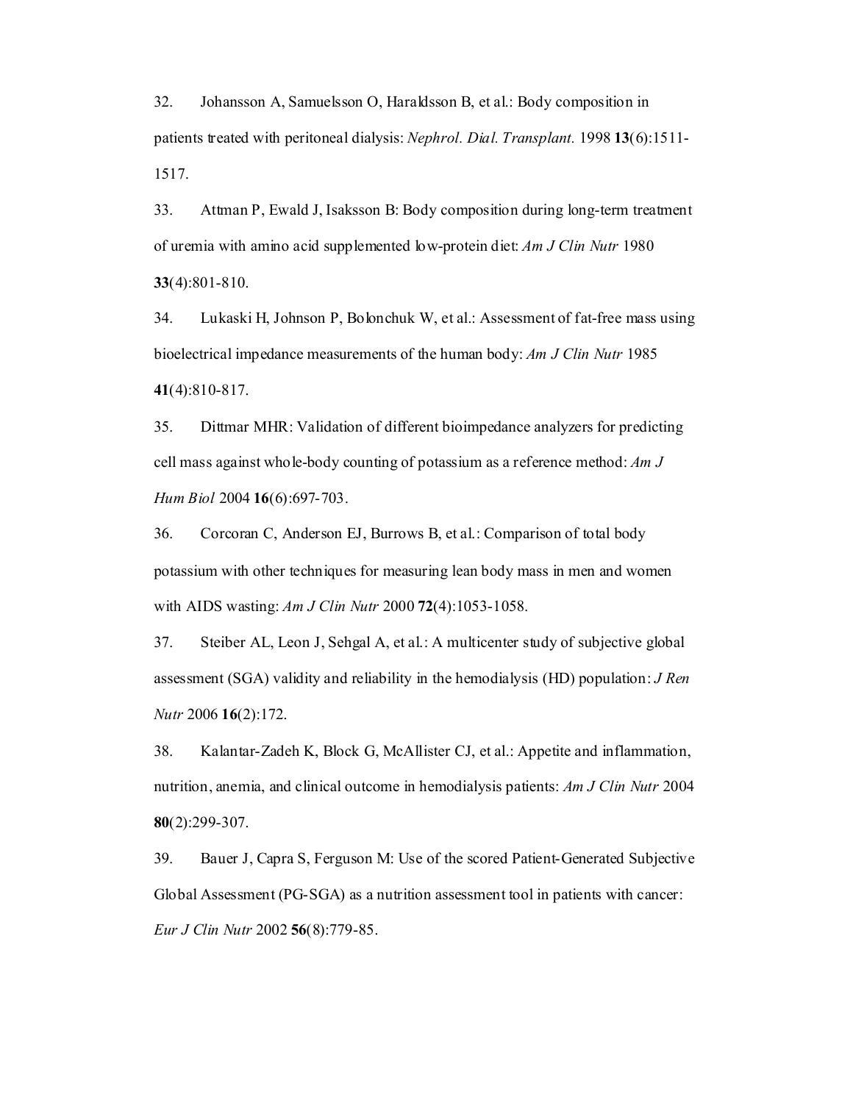32. Johansson A, Samuelsson O, Haraldsson B, et al.: Body composition in patients treated with peritoneal dialysis: *Nephrol. Dial. Transplant.* 1998 **13**(6):1511- 1517.

33. Attman P, Ewald J, Isaksson B: Body composition during long-term treatment of uremia with amino acid supplemented low-protein diet: *Am J Clin Nutr* 1980 **33**(4):801-810.

34. Lukaski H, Johnson P, Bolonchuk W, et al.: Assessment of fat-free mass using bioelectrical impedance measurements of the human body: *Am J Clin Nutr* 1985 **41**(4):810-817.

35. Dittmar MHR: Validation of different bioimpedance analyzers for predicting cell mass against whole-body counting of potassium as a reference method: *Am J Hum Biol* 2004 **16**(6):697-703.

36. Corcoran C, Anderson EJ, Burrows B, et al.: Comparison of total body potassium with other techniques for measuring lean body mass in men and women with AIDS wasting: *Am J Clin Nutr* 2000 **72**(4):1053-1058.

37. Steiber AL, Leon J, Sehgal A, et al.: A multicenter study of subjective global assessment (SGA) validity and reliability in the hemodialysis (HD) population: *J Ren Nutr* 2006 **16**(2):172.

38. Kalantar-Zadeh K, Block G, McAllister CJ, et al.: Appetite and inflammation, nutrition, anemia, and clinical outcome in hemodialysis patients: *Am J Clin Nutr* 2004 **80**(2):299-307.

39. Bauer J, Capra S, Ferguson M: Use of the scored Patient-Generated Subjective Global Assessment (PG-SGA) as a nutrition assessment tool in patients with cancer: *Eur J Clin Nutr* 2002 **56**(8):779-85.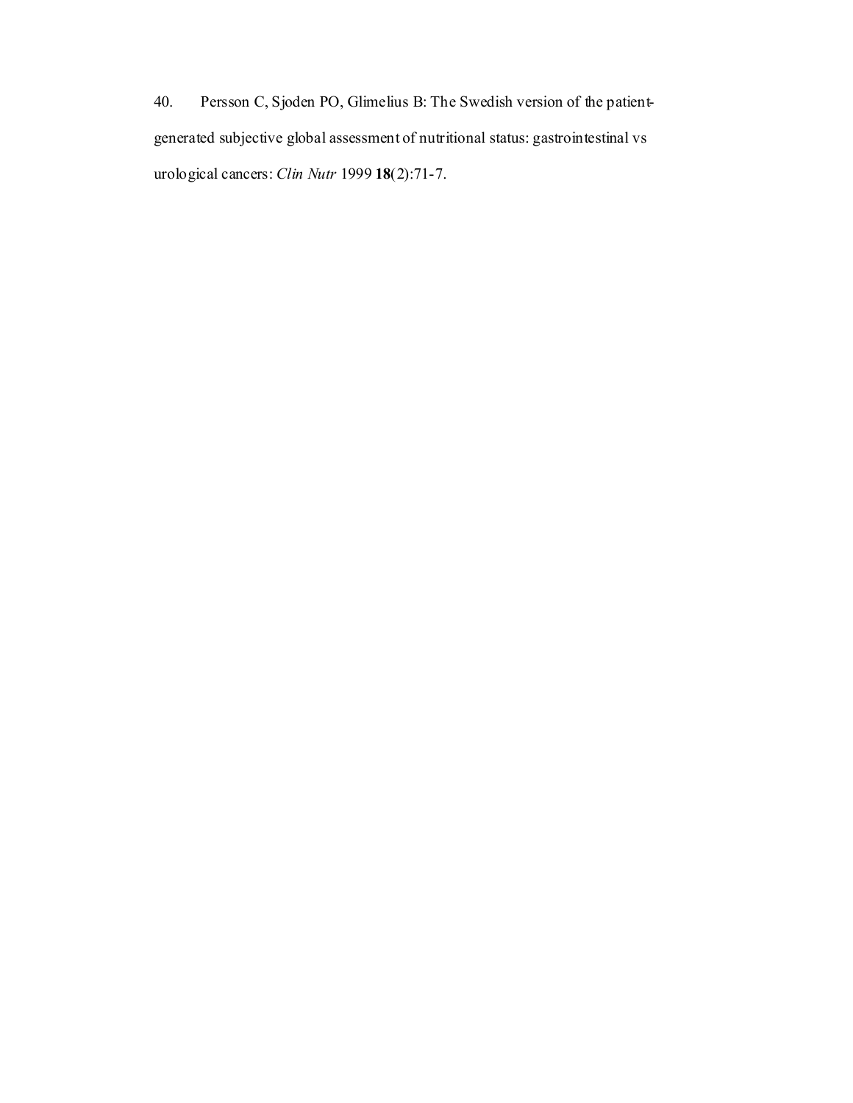40. Persson C, Sjoden PO, Glimelius B: The Swedish version of the patientgenerated subjective global assessment of nutritional status: gastrointestinal vs urological cancers: *Clin Nutr* 1999 **18**(2):71-7.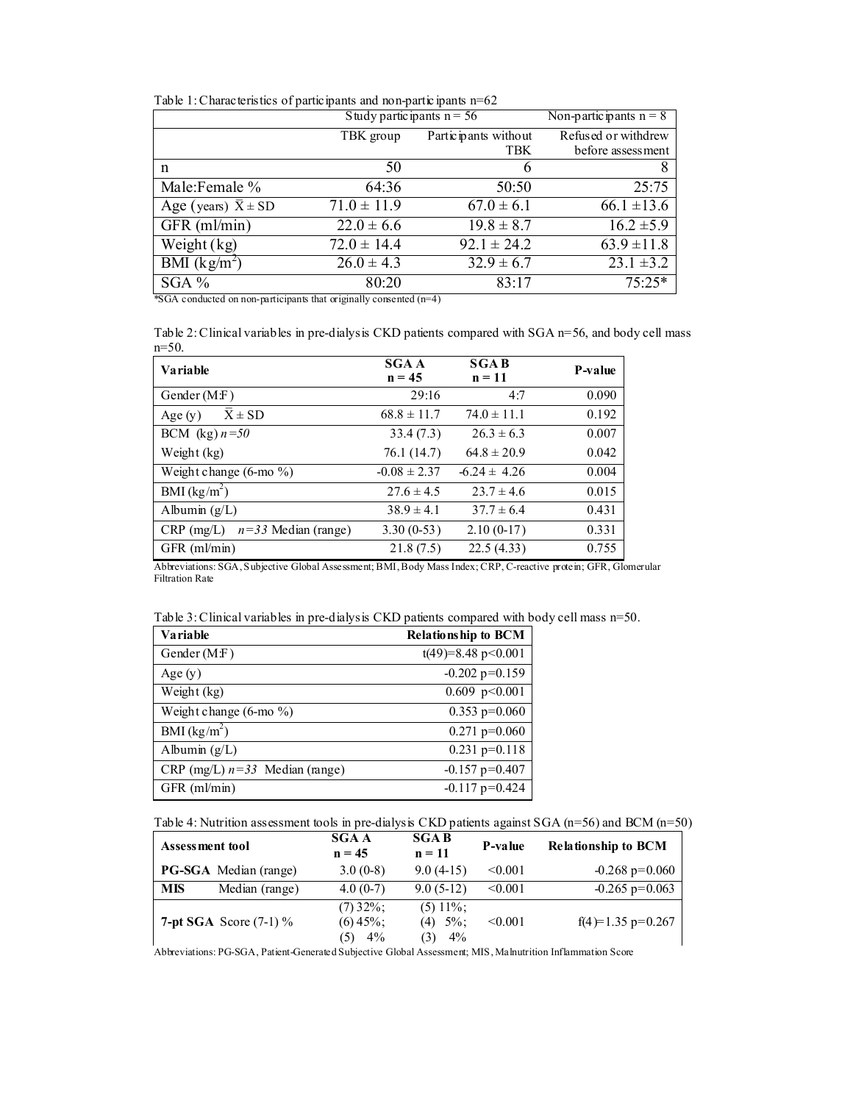Table 1: Characteristics of participants and non-participants n=62

|                                           | Study participants $n = 56$ |                           | Non-partic ipants $n = 8$ |
|-------------------------------------------|-----------------------------|---------------------------|---------------------------|
|                                           | TBK group                   | Partic ipants without     | Refused or withdrew       |
|                                           |                             | <b>TBK</b>                | before assessment         |
| n                                         | 50                          |                           | 8                         |
| Male:Female %                             | 64:36                       | 50:50                     | 25:75                     |
| Age (years) $\overline{X}$ ± SD           | $71.0 \pm 11.9$             | $67.0 \pm 6.1$            | $66.1 \pm 13.6$           |
| GFR (ml/min)                              | $22.0 \pm 6.6$              | $19.8 \pm 8.7$            | $16.2 \pm 5.9$            |
| Weight $(kg)$                             | $72.0 \pm 14.4$             | $92.1 \pm 24.2$           | $63.9 \pm 11.8$           |
| $\overline{\rm BMI}$ (kg/m <sup>2</sup> ) | $26.0 \pm 4.3$              | $\overline{32.9 \pm 6.7}$ | $23.1 \pm 3.2$            |
| $SGA \%$                                  | 80:20                       | 83:17                     | $75:25*$                  |

\*SGA conducted on non-participants that originally consented (n=4)

Table 2: Clinical variables in pre-dialysis CKD patients compared with SGA n=56, and body cell mass n=50.

| <b>Variable</b>                       | <b>SGA A</b><br>$n = 45$ | <b>SGAB</b><br>$n = 11$ | <b>P-value</b> |
|---------------------------------------|--------------------------|-------------------------|----------------|
| Gender $(M.F)$                        | 29:16                    | 4:7                     | 0.090          |
| $X \pm SD$<br>Age $(y)$               | $68.8 \pm 11.7$          | $74.0 \pm 11.1$         | 0.192          |
| BCM (kg) $n=50$                       | 33.4(7.3)                | $26.3 \pm 6.3$          | 0.007          |
| Weight (kg)                           | 76.1 (14.7)              | $64.8 \pm 20.9$         | 0.042          |
| Weight change $(6$ -mo $\%$ )         | $-0.08 \pm 2.37$         | $-6.24 \pm 4.26$        | 0.004          |
| BMI $(kg/m^2)$                        | $27.6 \pm 4.5$           | $23.7 \pm 4.6$          | 0.015          |
| Albumin $(g/L)$                       | $38.9 \pm 4.1$           | $37.7 \pm 6.4$          | 0.431          |
| $n=33$ Median (range)<br>$CRP$ (mg/L) | $3.30(0-53)$             | $2.10(0-17)$            | 0.331          |
| $GFR$ (m $l/min$ )                    | 21.8(7.5)                | 22.5(4.33)              | 0.755          |

Abbreviations: SGA, Subjective Global Assessment; BMI, Body Mass Index; CRP, C-reactive protein; GFR, Glomerular Filtration Rate

|  | Table 3: Clinical variables in pre-dialysis CKD patients compared with body cell mass $n=50$ . |  |  |  |
|--|------------------------------------------------------------------------------------------------|--|--|--|
|--|------------------------------------------------------------------------------------------------|--|--|--|

| <b>Variable</b>                  | <b>Relationship to BCM</b> |
|----------------------------------|----------------------------|
| Gender (M:F)                     | $t(49)=8.48$ p < 0.001     |
| Age $(y)$                        | $-0.202$ p=0.159           |
| Weight (kg)                      | $0.609$ p<0.001            |
| Weight change (6-mo %)           | $0.353$ p=0.060            |
| BMI $(kg/m^2)$                   | $0.271$ p=0.060            |
| Albumin $(g/L)$                  | $0.231$ p=0.118            |
| CRP (mg/L) $n=33$ Median (range) | $-0.157$ p=0.407           |
| $GFR$ (ml/min)                   | $-0.117$ p=0.424           |

Table 4: Nutrition assessment tools in pre-dialysis CKD patients against SGA (n=56) and BCM (n=50)

| Assessment tool |                                 | <b>SGA A</b><br>$n = 45$          | <b>SGAB</b><br>$n = 11$                  | P-value | <b>Relationship to BCM</b> |
|-----------------|---------------------------------|-----------------------------------|------------------------------------------|---------|----------------------------|
|                 | <b>PG-SGA</b> Median (range)    | $3.0(0-8)$                        | $9.0(4-15)$                              | < 0.001 | $-0.268$ p=0.060           |
| <b>MIS</b>      | Median (range)                  | $4.0(0-7)$                        | $9.0(5-12)$                              | < 0.001 | $-0.265$ p=0.063           |
|                 | <b>7-pt SGA</b> Score $(7-1)\%$ | $(7)$ 32%;<br>$(6)$ 45%;<br>$4\%$ | $(5)$ 11\%;<br>$(4)$ 5%;<br>$4\%$<br>(3) | < 0.001 | $f(4)=1.35$ p=0.267        |

Abbreviations: PG-SGA, Patient-Generated Subjective Global Assessment; MIS, Malnutrition Inflammation Score